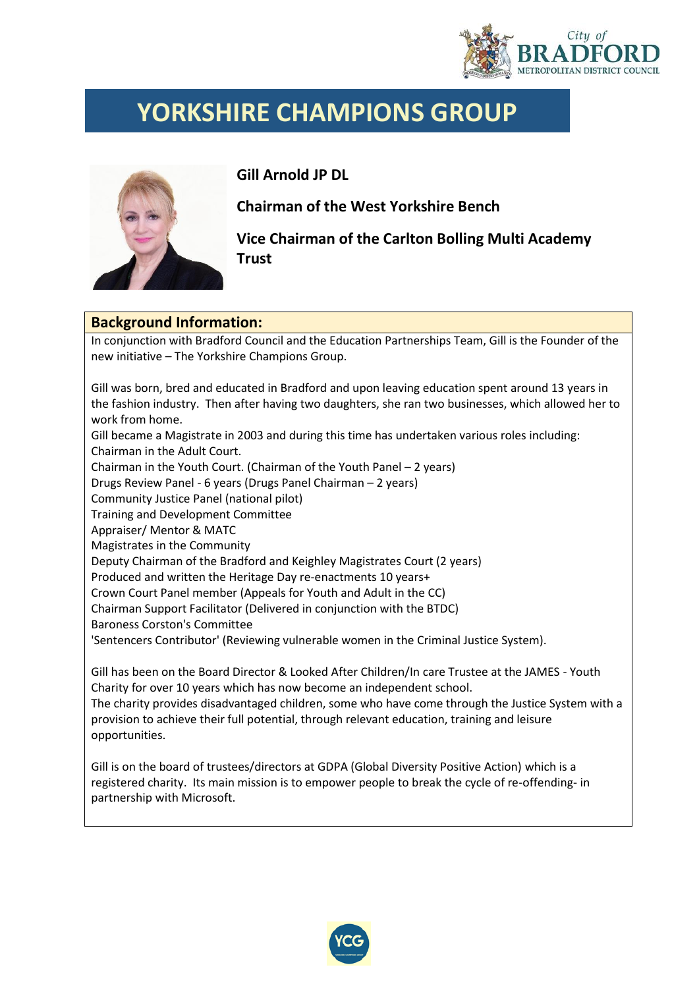

## **YORKSHIRE CHAMPIONS GROUP**



**Gill Arnold JP DL** 

**Chairman of the West Yorkshire Bench**

**Vice Chairman of the Carlton Bolling Multi Academy Trust**

## **Background Information:**

In conjunction with Bradford Council and the Education Partnerships Team, Gill is the Founder of the new initiative – The Yorkshire Champions Group.

Gill was born, bred and educated in Bradford and upon leaving education spent around 13 years in the fashion industry. Then after having two daughters, she ran two businesses, which allowed her to work from home. Gill became a Magistrate in 2003 and during this time has undertaken various roles including: Chairman in the Adult Court. Chairman in the Youth Court. (Chairman of the Youth Panel – 2 years) Drugs Review Panel - 6 years (Drugs Panel Chairman – 2 years) Community Justice Panel (national pilot) Training and Development Committee Appraiser/ Mentor & MATC Magistrates in the Community Deputy Chairman of the Bradford and Keighley Magistrates Court (2 years) Produced and written the Heritage Day re-enactments 10 years+ Crown Court Panel member (Appeals for Youth and Adult in the CC) Chairman Support Facilitator (Delivered in conjunction with the BTDC) Baroness Corston's Committee 'Sentencers Contributor' (Reviewing vulnerable women in the Criminal Justice System). Gill has been on the Board Director & Looked After Children/In care Trustee at the JAMES - Youth Charity for over 10 years which has now become an independent school.

The charity provides disadvantaged children, some who have come through the Justice System with a provision to achieve their full potential, through relevant education, training and leisure opportunities.

Gill is on the board of trustees/directors at GDPA (Global Diversity Positive Action) which is a registered charity. Its main mission is to empower people to break the cycle of re-offending- in partnership with Microsoft.